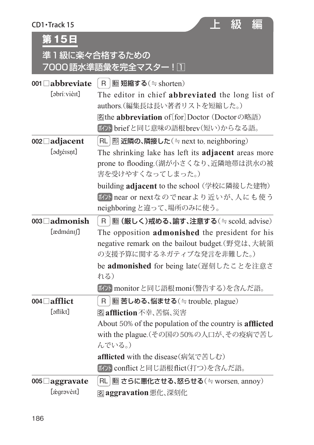| $CD1$ Track 15<br>第15日 | F<br>級<br>編<br>準1級に楽々合格するための<br>7000語水準語彙を完全マスター! □                                      |
|------------------------|------------------------------------------------------------------------------------------|
| 001 $\Box$ abbreviate  | <b>動短縮する</b> (≒shorten)<br>  R                                                           |
| [abrí:vièit]           | The editor in chief abbreviated the long list of                                         |
|                        | authors. (編集長は長い著者リストを短縮した。)                                                             |
|                        | <b> 客the abbreviation of [for] Doctor (Doctorの略語)</b><br>ポソト briefと同じ意味の語根brev(短い)からなる語。 |
| 002□ adjacent          | RL   形 近隣の、隣接した(≒next to, neighboring)                                                   |
| [adzéisnt]             | The shrinking lake has left its <b>adjacent</b> areas more                               |
|                        | prone to flooding.(湖が小さくなり、近隣地帯は洪水の被                                                     |
|                        | 害を受けやすくなってしまった。)                                                                         |
|                        | building adjacent to the school (学校に隣接した建物)                                              |
|                        | iky near or nextなのでnearより近いが、人にも使う                                                       |
|                        | neighboringと違って、場所のみに使う。                                                                 |
| 003□admonish           | <b>動 (厳しく)戒める、諭す、注意する</b> (≒ scold, advise)<br>R.                                        |
| [ædmánɪʃ]              | The opposition <b>admonished</b> the president for his                                   |
|                        | negative remark on the bailout budget. (野党は、大統領                                          |
|                        | の支援予算に関するネガティブな発言を非難した。)                                                                 |
|                        | be admonished for being late(遅刻したことを注意さ<br>れる)                                           |
|                        | ボハ monitor と同じ語根moni(警告する)を含んだ語。                                                         |
| 004□ afflict           | <b>動苦しめる、悩ませる</b> (≒trouble, plague)<br>R.                                               |
| [aflíkt]               | 图 affiction 不幸、苦悩、災害                                                                     |
|                        | About 50% of the population of the country is afflicted                                  |
|                        | with the plague. (その国の50%の人口が、その疫病で苦し                                                    |
|                        | んでいる。)                                                                                   |
|                        | afflicted with the disease(病気で苦しむ)                                                       |
|                        | ボハ conflictと同じ語根flict(打つ)を含んだ語。                                                          |
| 005□ aggravate         | RL   動 さらに悪化させる、怒らせる (≒ worsen, annoy)                                                   |
| [ægrəvèɪt]             | <b>宮aggravation</b> 悪化、深刻化                                                               |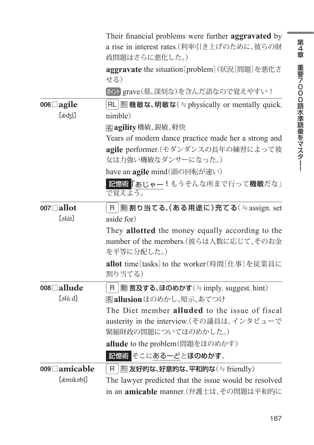|                           | Their financial problems were further aggravated by<br>a rise in interest rates.(利率引き上げのために、彼らの財 |
|---------------------------|--------------------------------------------------------------------------------------------------|
|                           | 政問題はさらに悪化した。)                                                                                    |
|                           | aggravate the situation [problem] (状況[問題]を悪化さ<br>せる)                                             |
|                           | ボハ grave(墓、深刻な)を含んだ語なので覚えやすい!                                                                    |
| 006□agile<br>$[\text{æd}$ | $\mathsf{RL}$ $\mathbb B$ 機敏な、明敏な( $\doteq$ physically or mentally quick,<br>nimble)             |
|                           | <b>Zagility 機敏、鋭敏、軽快</b>                                                                         |
|                           | Years of modern dance practice made her a strong and                                             |
|                           | agile performer.(モダンダンスの長年の練習によって彼<br>女は力強い機敏なダンサーになった。)                                         |
|                           | have an agile mind(頭の回転が速い)                                                                      |
|                           | 記憶術「あじゃー!もうそんな所まで行って機敏だな」<br>で覚えよう。                                                              |
| 007□ allot                | <b>動割り当てる、(ある用途に)充てる</b> (≒assign, set<br>R                                                      |
| [əlát]                    | aside for)                                                                                       |
|                           | They allotted the money equally according to the                                                 |
|                           | number of the members. (彼らは人数に応じて、そのお金<br>を平等に分配した。)                                             |
|                           | <b>allot</b> time[tasks] to the worker(時間「仕事]を従業員に<br>割り当てる)                                     |
| 008□allude                | <b>動言及する、ほのめかす</b> (≒imply, suggest, hint)<br>R                                                  |
| [əlú:d]                   | 客allusionほのめかし、暗示、あてつけ                                                                           |
|                           | The Diet member alluded to the issue of fiscal                                                   |
|                           | austerity in the interview.(その議員は、インタビューで                                                        |
|                           | 緊縮財政の問題についてほのめかした。)                                                                              |
|                           | allude to the problem(問題をほのめかす)                                                                  |
|                           | 記憶術 そこにあるーどとほのめかす。                                                                               |
| 009□ amicable             | $E$ 友好的な、好意的な、平和的な $($ $\Rightarrow$ friendly)<br>R                                              |
| [ámikab]]                 | The lawyer predicted that the issue would be resolved                                            |
|                           | in an amicable manner.(弁護士は、その問題は平和的に                                                            |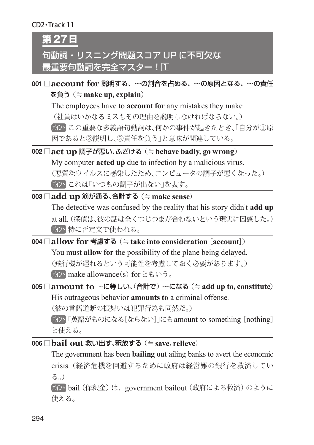#### CD2・Track 11

**第27日**

# 句動詞・リスニング問題スコア UP に不可欠な 最重要句動詞を完全マスター!∏

001 □**account for** 説明する、〜の割合を占める、〜の原因となる、〜の責任 を負う (≒**make up, explain**)

The employees have to **account for** any mistakes they make. (社員はいかなるミスもその理由を説明しなければならない。) ポイント この重要な多義語句動詞は、何かの事件が起きたとき、「自分が①原 因であると②説明し、③責任を負う」と意味が関連している。

- 002 □**act up** 調子が悪い、ふざける (≒**behave badly, go wrong**) My computer **acted up** due to infection by a malicious virus. (悪質なウイルスに感染したため、コンピュータの調子が悪くなった。) ポハとれは「いつもの調子が出ない」を表す。
- 003 □**add up** 筋が通る、合計する (≒**make sense**) The detective was confused by the reality that his story didn't **add up** at all. (探偵は、彼の話は全くつじつまが合わないという現実に困惑した。) ポイント 特に否定文で使われる。
- 004 □**allow for** 考慮する (≒**take into consideration**[**account**]) You must **allow for** the possibility of the plane being delayed. (飛行機が遅れるという可能性を考慮しておく必要があります。) ポクト make allowance(s) for ともいう。
- 005 □**amount to** 〜に等しい、(合計で)〜になる (≒**add up to, constitute**) His outrageous behavior **amounts to** a criminal offense. (彼の言語道断の振舞いは犯罪行為も同然だ。) ポイント「英語がものになる[ならない]」にもamount to something [nothing] と使える。
- 006 □**bail out** 救い出す、釈放する (≒ save, relieve)

The government has been **bailing out** ailing banks to avert the economic crisis. (経済危機を回避するために政府は経営難の銀行を救済してい る。)

ポイント bail (保釈金) は、government bailout (政府による救済) のように 使える。